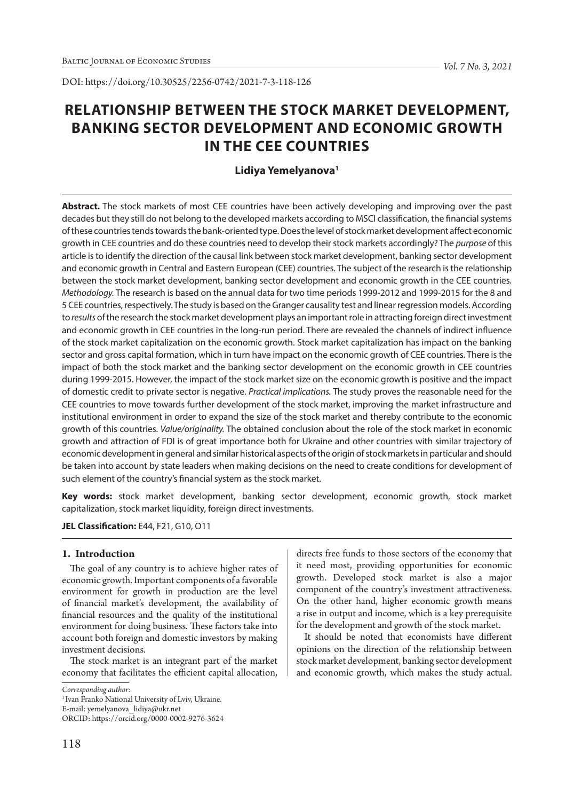DOI: https://doi.org/10.30525/2256-0742/2021-7-3-118-126

# **RELATIONSHIP BETWEEN THE STOCK MARKET DEVELOPMENT, BANKING SECTOR DEVELOPMENT AND ECONOMIC GROWTH IN THE CEE COUNTRIES**

# **Lidiya Yemelyanova1**

**Abstract.** The stock markets of most CEE countries have been actively developing and improving over the past decades but they still do not belong to the developed markets according to MSCI classification, the financial systems of these countries tends towards the bank-oriented type. Does the level of stock market development affect economic growth in CEE countries and do these countries need to develop their stock markets accordingly? The *purpose* of this article is to identify the direction of the causal link between stock market development, banking sector development and economic growth in Central and Eastern European (CEE) countries. The subject of the research is the relationship between the stock market development, banking sector development and economic growth in the CEE countries*. Methodology.* The research is based on the annual data for two time periods 1999-2012 and 1999-2015 for the 8 and 5 CEE countries, respectively. The study is based on the Granger causality test and linear regression models. According to *results* of the research the stock market development plays an important role in attracting foreign direct investment and economic growth in CEE countries in the long-run period. There are revealed the channels of indirect influence of the stock market capitalization on the economic growth. Stock market capitalization has impact on the banking sector and gross capital formation, which in turn have impact on the economic growth of CEE countries. There is the impact of both the stock market and the banking sector development on the economic growth in CEE countries during 1999-2015. However, the impact of the stock market size on the economic growth is positive and the impact of domestic credit to private sector is negative. *Practical implications.* The study proves the reasonable need for the CEE countries to move towards further development of the stock market, improving the market infrastructure and institutional environment in order to expand the size of the stock market and thereby contribute to the economic growth of this countries. *Value/originality.* The obtained conclusion about the role of the stock market in economic growth and attraction of FDI is of great importance both for Ukraine and other countries with similar trajectory of economic development in general and similar historical aspects of the origin of stock markets in particular and should be taken into account by state leaders when making decisions on the need to create conditions for development of such element of the country's financial system as the stock market.

**Key words:** stock market development, banking sector development, economic growth, stock market capitalization, stock market liquidity, foreign direct investments.

## **JEL Classification:** E44, F21, G10, O11

# **1. Introduction**

The goal of any country is to achieve higher rates of economic growth. Important components of a favorable environment for growth in production are the level of financial market's development, the availability of financial resources and the quality of the institutional environment for doing business. These factors take into account both foreign and domestic investors by making investment decisions.

The stock market is an integrant part of the market economy that facilitates the efficient capital allocation,

*Corresponding author:*

E-mail: yemelyanova\_lidiya@ukr.net

directs free funds to those sectors of the economy that it need most, providing opportunities for economic growth. Developed stock market is also a major component of the country's investment attractiveness. On the other hand, higher economic growth means a rise in output and income, which is a key prerequisite for the development and growth of the stock market.

It should be noted that economists have different opinions on the direction of the relationship between stock market development, banking sector development and economic growth, which makes the study actual.

<sup>&</sup>lt;sup>1</sup> Ivan Franko National University of Lviv, Ukraine.

ORCID: https://orcid.org/0000-0002-9276-3624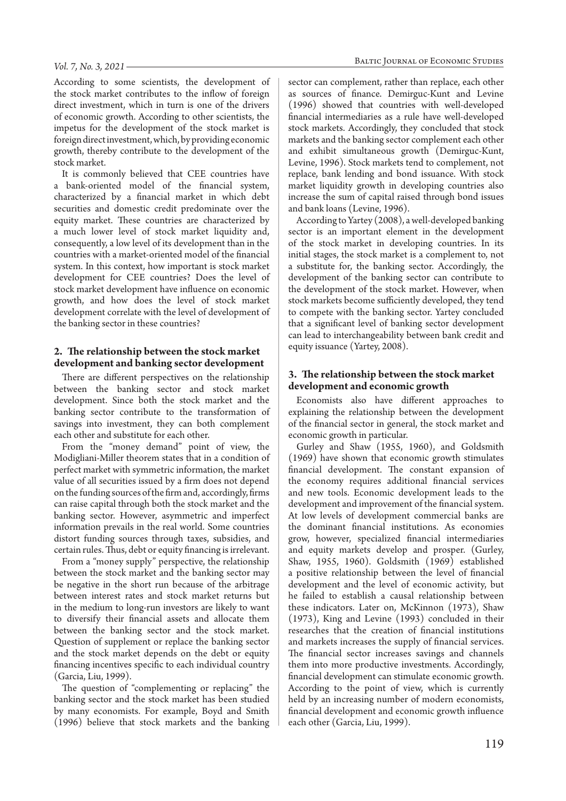According to some scientists, the development of the stock market contributes to the inflow of foreign direct investment, which in turn is one of the drivers of economic growth. According to other scientists, the impetus for the development of the stock market is foreign direct investment, which, by providing economic growth, thereby contribute to the development of the stock market.

It is commonly believed that CEE countries have a bank-oriented model of the financial system, characterized by a financial market in which debt securities and domestic credit predominate over the equity market. These countries are characterized by a much lower level of stock market liquidity and, consequently, a low level of its development than in the countries with a market-oriented model of the financial system. In this context, how important is stock market development for CEE countries? Does the level of stock market development have influence on economic growth, and how does the level of stock market development correlate with the level of development of the banking sector in these countries?

# **2. The relationship between the stock market development and banking sector development**

There are different perspectives on the relationship between the banking sector and stock market development. Since both the stock market and the banking sector contribute to the transformation of savings into investment, they can both complement each other and substitute for each other.

From the "money demand" point of view, the Modigliani-Miller theorem states that in a condition of perfect market with symmetric information, the market value of all securities issued by a firm does not depend on the funding sources of the firm and, accordingly, firms can raise capital through both the stock market and the banking sector. However, asymmetric and imperfect information prevails in the real world. Some countries distort funding sources through taxes, subsidies, and certain rules. Thus, debt or equity financing is irrelevant.

From a "money supply" perspective, the relationship between the stock market and the banking sector may be negative in the short run because of the arbitrage between interest rates and stock market returns but in the medium to long-run investors are likely to want to diversify their financial assets and allocate them between the banking sector and the stock market. Question of supplement or replace the banking sector and the stock market depends on the debt or equity financing incentives specific to each individual country (Garcia, Liu, 1999).

The question of "complementing or replacing" the banking sector and the stock market has been studied by many economists. For example, Boyd and Smith (1996) believe that stock markets and the banking

sector can complement, rather than replace, each other as sources of finance. Demirguc-Kunt and Levine (1996) showed that countries with well-developed financial intermediaries as a rule have well-developed stock markets. Accordingly, they concluded that stock markets and the banking sector complement each other and exhibit simultaneous growth (Demirguc-Kunt, Levine, 1996). Stock markets tend to complement, not replace, bank lending and bond issuance. With stock market liquidity growth in developing countries also increase the sum of capital raised through bond issues and bank loans (Levine, 1996).

According to Yartey (2008), a well-developed banking sector is an important element in the development of the stock market in developing countries. In its initial stages, the stock market is a complement to, not a substitute for, the banking sector. Accordingly, the development of the banking sector can contribute to the development of the stock market. However, when stock markets become sufficiently developed, they tend to compete with the banking sector. Yartey concluded that a significant level of banking sector development can lead to interchangeability between bank credit and equity issuance (Yartey, 2008).

# **3. The relationship between the stock market development and economic growth**

Economists also have different approaches to explaining the relationship between the development of the financial sector in general, the stock market and economic growth in particular.

Gurley and Shaw (1955, 1960), and Goldsmith (1969) have shown that economic growth stimulates financial development. The constant expansion of the economy requires additional financial services and new tools. Economic development leads to the development and improvement of the financial system. At low levels of development commercial banks are the dominant financial institutions. As economies grow, however, specialized financial intermediaries and equity markets develop and prosper. (Gurley, Shaw, 1955, 1960). Goldsmith (1969) established a positive relationship between the level of financial development and the level of economic activity, but he failed to establish a causal relationship between these indicators. Later on, McKinnon (1973), Shaw (1973), King and Levine (1993) concluded in their researches that the creation of financial institutions and markets increases the supply of financial services. The financial sector increases savings and channels them into more productive investments. Accordingly, financial development can stimulate economic growth. According to the point of view, which is currently held by an increasing number of modern economists, financial development and economic growth influence each other (Garcia, Liu, 1999).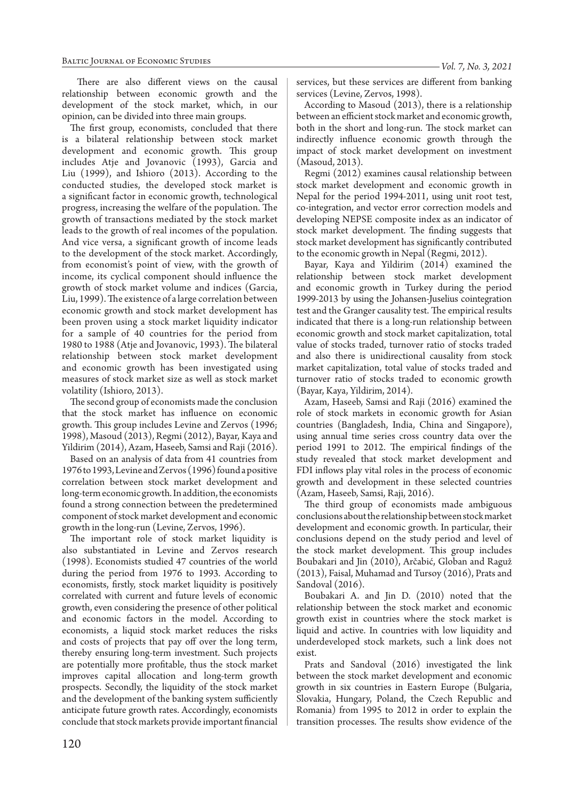There are also different views on the causal relationship between economic growth and the development of the stock market, which, in our opinion, can be divided into three main groups.

The first group, economists, concluded that there is a bilateral relationship between stock market development and economic growth. This group includes Atje and Jovanovic (1993), Garcia and Liu (1999), and Ishioro (2013). According to the conducted studies, the developed stock market is a significant factor in economic growth, technological progress, increasing the welfare of the population. The growth of transactions mediated by the stock market leads to the growth of real incomes of the population. And vice versa, a significant growth of income leads to the development of the stock market. Accordingly, from economist's point of view, with the growth of income, its cyclical component should influence the growth of stock market volume and indices (Garcia, Liu, 1999). The existence of a large correlation between economic growth and stock market development has been proven using a stock market liquidity indicator for a sample of 40 countries for the period from 1980 to 1988 (Atje and Jovanovic, 1993). The bilateral relationship between stock market development and economic growth has been investigated using measures of stock market size as well as stock market volatility (Ishioro, 2013).

The second group of economists made the conclusion that the stock market has influence on economic growth. This group includes Levine and Zervos (1996; 1998), Masoud (2013), Regmi (2012), Bayar, Kaya and Yildirim (2014), Azam, Haseeb, Samsi and Raji (2016).

Based on an analysis of data from 41 countries from 1976 to 1993, Levine and Zervos (1996) found a positive correlation between stock market development and long-term economic growth. In addition, the economists found a strong connection between the predetermined component of stock market development and economic growth in the long-run (Levine, Zervos, 1996).

The important role of stock market liquidity is also substantiated in Levine and Zervos research (1998). Economists studied 47 countries of the world during the period from 1976 to 1993. According to economists, firstly, stock market liquidity is positively correlated with current and future levels of economic growth, even considering the presence of other political and economic factors in the model. According to economists, a liquid stock market reduces the risks and costs of projects that pay off over the long term, thereby ensuring long-term investment. Such projects are potentially more profitable, thus the stock market improves capital allocation and long-term growth prospects. Secondly, the liquidity of the stock market and the development of the banking system sufficiently anticipate future growth rates. Accordingly, economists conclude that stock markets provide important financial services, but these services are different from banking services (Levine, Zervos, 1998).

According to Masoud (2013), there is a relationship between an efficient stock market and economic growth, both in the short and long-run. The stock market can indirectly influence economic growth through the impact of stock market development on investment (Masoud, 2013).

Regmi (2012) examines causal relationship between stock market development and economic growth in Nepal for the period 1994-2011, using unit root test, co-integration, and vector error correction models and developing NEPSE composite index as an indicator of stock market development. The finding suggests that stock market development has significantly contributed to the economic growth in Nepal (Regmi, 2012).

Bayar, Kaya and Yildirim (2014) examined the relationship between stock market development and economic growth in Turkey during the period 1999-2013 by using the Johansen-Juselius cointegration test and the Granger causality test. The empirical results indicated that there is a long-run relationship between economic growth and stock market capitalization, total value of stocks traded, turnover ratio of stocks traded and also there is unidirectional causality from stock market capitalization, total value of stocks traded and turnover ratio of stocks traded to economic growth (Bayar, Kaya, Yildirim, 2014).

Azam, Haseeb, Samsi and Raji (2016) examined the role of stock markets in economic growth for Asian countries (Bangladesh, India, China and Singapore), using annual time series cross country data over the period 1991 to 2012. The empirical findings of the study revealed that stock market development and FDI inflows play vital roles in the process of economic growth and development in these selected countries (Azam, Haseeb, Samsi, Raji, 2016).

The third group of economists made ambiguous conclusions about the relationship between stock market development and economic growth. In particular, their conclusions depend on the study period and level of the stock market development. This group includes Boubakari and Jin (2010), Arčabić, Globan and Raguž (2013), Faisal, Muhamad and Tursoy (2016), Prats and Sandoval (2016).

Boubakari A. and Jin D. (2010) noted that the relationship between the stock market and economic growth exist in countries where the stock market is liquid and active. In countries with low liquidity and underdeveloped stock markets, such a link does not exist.

Prats and Sandoval (2016) investigated the link between the stock market development and economic growth in six countries in Eastern Europe (Bulgaria, Slovakia, Hungary, Poland, the Czech Republic and Romania) from 1995 to 2012 in order to explain the transition processes. The results show evidence of the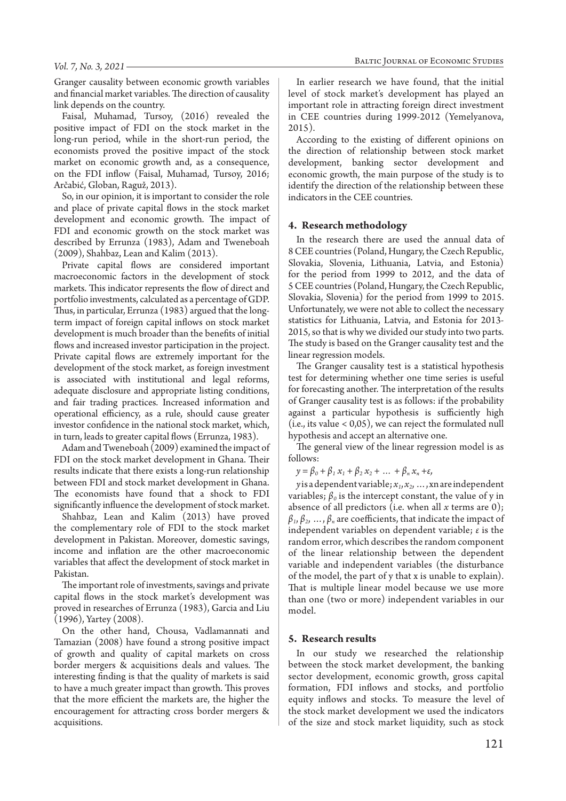Granger causality between economic growth variables and financial market variables. The direction of causality link depends on the country.

Faisal, Muhamad, Tursoy, (2016) revealed the positive impact of FDI on the stock market in the long-run period, while in the short-run period, the economists proved the positive impact of the stock market on economic growth and, as a consequence, on the FDI inflow (Faisal, Muhamad, Tursoy, 2016; Arčabić, Globan, Raguž, 2013).

So, in our opinion, it is important to consider the role and place of private capital flows in the stock market development and economic growth. The impact of FDI and economic growth on the stock market was described by Errunza (1983), Adam and Tweneboah (2009), Shahbaz, Lean and Kalim (2013).

Private capital flows are considered important macroeconomic factors in the development of stock markets. This indicator represents the flow of direct and portfolio investments, calculated as a percentage of GDP. Thus, in particular, Errunza (1983) argued that the longterm impact of foreign capital inflows on stock market development is much broader than the benefits of initial flows and increased investor participation in the project. Private capital flows are extremely important for the development of the stock market, as foreign investment is associated with institutional and legal reforms, adequate disclosure and appropriate listing conditions, and fair trading practices. Increased information and operational efficiency, as a rule, should cause greater investor confidence in the national stock market, which, in turn, leads to greater capital flows (Errunza, 1983).

Adam and Tweneboah (2009) examined the impact of FDI on the stock market development in Ghana. Their results indicate that there exists a long-run relationship between FDI and stock market development in Ghana. The economists have found that a shock to FDI significantly influence the development of stock market.

Shahbaz, Lean and Kalim (2013) have proved the complementary role of FDI to the stock market development in Pakistan. Moreover, domestic savings, income and inflation are the other macroeconomic variables that affect the development of stock market in Pakistan.

The important role of investments, savings and private capital flows in the stock market's development was proved in researches of Errunza (1983), Garcia and Liu (1996), Yartey (2008).

On the other hand, Chousa, Vadlamannati and Tamazian (2008) have found a strong positive impact of growth and quality of capital markets on cross border mergers & acquisitions deals and values. The interesting finding is that the quality of markets is said to have a much greater impact than growth. This proves that the more efficient the markets are, the higher the encouragement for attracting cross border mergers & acquisitions.

In earlier research we have found, that the initial level of stock market's development has played an important role in attracting foreign direct investment in CEE countries during 1999-2012 (Yemelyanova, 2015).

According to the existing of different opinions on the direction of relationship between stock market development, banking sector development and economic growth, the main purpose of the study is to identify the direction of the relationship between these indicators in the CEE countries.

#### **4. Research methodology**

In the research there are used the annual data of 8 CEE countries (Poland, Hungary, the Czech Republic, Slovakia, Slovenia, Lithuania, Latvia, and Estonia) for the period from 1999 to 2012, and the data of 5 CEE countries (Poland, Hungary, the Czech Republic, Slovakia, Slovenia) for the period from 1999 to 2015. Unfortunately, we were not able to collect the necessary statistics for Lithuania, Latvia, and Estonia for 2013- 2015, so that is why we divided our study into two parts. The study is based on the Granger causality test and the linear regression models.

The Granger causality test is a statistical hypothesis test for determining whether one time series is useful for forecasting another. The interpretation of the results of Granger causality test is as follows: if the probability against a particular hypothesis is sufficiently high (i.e., its value < 0,05), we can reject the formulated null hypothesis and accept an alternative one.

The general view of the linear regression model is as follows:

 $y = \beta_0 + \beta_1 x_1 + \beta_2 x_2 + \dots + \beta_n x_n + \varepsilon,$ 

 $y$  is a dependent variable;  $x_1, x_2, ..., x_n$  are independent variables;  $\beta_0$  is the intercept constant, the value of y in absence of all predictors (i.e. when all  $x$  terms are 0);  $\beta_1, \beta_2, \ldots, \beta_n$  are coefficients, that indicate the impact of independent variables on dependent variable; *ε* is the random error, which describes the random component of the linear relationship between the dependent variable and independent variables (the disturbance of the model, the part of y that x is unable to explain). That is multiple linear model because we use more than one (two or more) independent variables in our model.

## **5. Research results**

In our study we researched the relationship between the stock market development, the banking sector development, economic growth, gross capital formation, FDI inflows and stocks, and portfolio equity inflows and stocks. To measure the level of the stock market development we used the indicators of the size and stock market liquidity, such as stock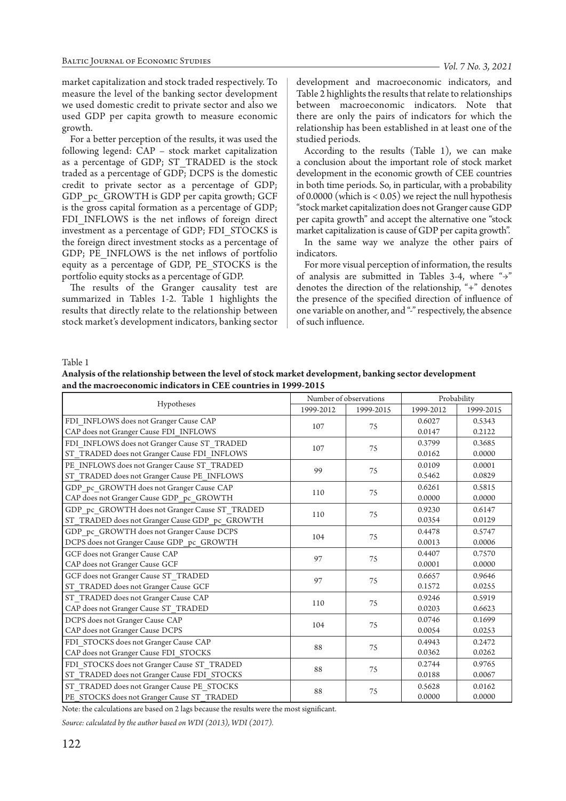market capitalization and stock traded respectively. To measure the level of the banking sector development we used domestic credit to private sector and also we used GDP per capita growth to measure economic growth.

For a better perception of the results, it was used the following legend: CAP – stock market capitalization as a percentage of GDP; ST\_TRADED is the stock traded as a percentage of GDP; DCPS is the domestic credit to private sector as a percentage of GDP; GDP\_pc\_GROWTH is GDP per capita growth; GCF is the gross capital formation as a percentage of GDP; FDI INFLOWS is the net inflows of foreign direct investment as a percentage of GDP; FDI\_STOCKS is the foreign direct investment stocks as a percentage of GDP; PE\_INFLOWS is the net inflows of portfolio equity as a percentage of GDP, PE\_STOCKS is the portfolio equity stocks as a percentage of GDP.

The results of the Granger causality test are summarized in Tables 1-2. Table 1 highlights the results that directly relate to the relationship between stock market's development indicators, banking sector development and macroeconomic indicators, and Table 2 highlights the results that relate to relationships between macroeconomic indicators. Note that there are only the pairs of indicators for which the relationship has been established in at least one of the studied periods.

According to the results (Table 1), we can make a conclusion about the important role of stock market development in the economic growth of CEE countries in both time periods. So, in particular, with a probability of 0.0000 (which is < 0.05) we reject the null hypothesis "stock market capitalization does not Granger cause GDP per capita growth" and accept the alternative one "stock market capitalization is cause of GDP per capita growth".

In the same way we analyze the other pairs of indicators.

For more visual perception of information, the results of analysis are submitted in Tables 3-4, where "→" denotes the direction of the relationship, "+" denotes the presence of the specified direction of influence of one variable on another, and "-" respectively, the absence of such influence.

Table 1

| Analysis of the relationship between the level of stock market development, banking sector development |
|--------------------------------------------------------------------------------------------------------|
| and the macroeconomic indicators in CEE countries in 1999-2015                                         |

| Hypotheses                                     | Number of observations |    | Probability |           |        |
|------------------------------------------------|------------------------|----|-------------|-----------|--------|
|                                                | 1999-2012<br>1999-2015 |    | 1999-2012   | 1999-2015 |        |
| FDI INFLOWS does not Granger Cause CAP         | 107                    | 75 | 0.6027      | 0.5343    |        |
| CAP does not Granger Cause FDI INFLOWS         |                        |    | 0.0147      | 0.2122    |        |
| FDI INFLOWS does not Granger Cause ST TRADED   | 107                    | 75 | 0.3799      | 0.3685    |        |
| ST_TRADED does not Granger Cause FDI_INFLOWS   |                        |    | 0.0162      | 0.0000    |        |
| PE INFLOWS does not Granger Cause ST TRADED    | 99                     | 75 | 0.0109      | 0.0001    |        |
| ST_TRADED does not Granger Cause PE_INFLOWS    |                        |    | 0.5462      | 0.0829    |        |
| GDP pc GROWTH does not Granger Cause CAP       | 110                    | 75 | 0.6261      | 0.5815    |        |
| CAP does not Granger Cause GDP_pc_GROWTH       |                        |    | 0.0000      | 0.0000    |        |
| GDP_pc_GROWTH does not Granger Cause ST_TRADED | 110                    | 75 | 0.9230      | 0.6147    |        |
| ST TRADED does not Granger Cause GDP pc GROWTH |                        |    | 0.0354      | 0.0129    |        |
| GDP pc GROWTH does not Granger Cause DCPS      | 104                    | 75 | 0.4478      | 0.5747    |        |
| DCPS does not Granger Cause GDP_pc_GROWTH      |                        |    | 0.0013      | 0.0006    |        |
| GCF does not Granger Cause CAP                 | 97                     | 75 | 0.4407      | 0.7570    |        |
| CAP does not Granger Cause GCF                 |                        |    | 0.0001      | 0.0000    |        |
| GCF does not Granger Cause ST_TRADED           | 97                     | 75 | 0.6657      | 0.9646    |        |
| ST_TRADED does not Granger Cause GCF           |                        |    | 0.1572      | 0.0255    |        |
| ST TRADED does not Granger Cause CAP           | 110                    | 75 | 0.9246      | 0.5919    |        |
| CAP does not Granger Cause ST_TRADED           |                        |    | 0.0203      | 0.6623    |        |
| DCPS does not Granger Cause CAP                |                        |    | 0.0746      | 0.1699    |        |
| CAP does not Granger Cause DCPS                | 104<br>75              |    | 0.0054      | 0.0253    |        |
| FDI_STOCKS does not Granger Cause CAP          | 88                     |    | 75          | 0.4943    | 0.2472 |
| CAP does not Granger Cause FDI_STOCKS          |                        |    | 0.0362      | 0.0262    |        |
| FDI STOCKS does not Granger Cause ST TRADED    | 88                     |    | 75          | 0.2744    | 0.9765 |
| ST TRADED does not Granger Cause FDI STOCKS    |                        |    | 0.0188      | 0.0067    |        |
| ST_TRADED does not Granger Cause PE_STOCKS     | 88                     | 75 | 0.5628      | 0.0162    |        |
| PE_STOCKS does not Granger Cause ST_TRADED     |                        |    | 0.0000      | 0.0000    |        |

Note: the calculations are based on 2 lags because the results were the most significant.

*Source: calculated by the author based on WDI (2013), WDI (2017).*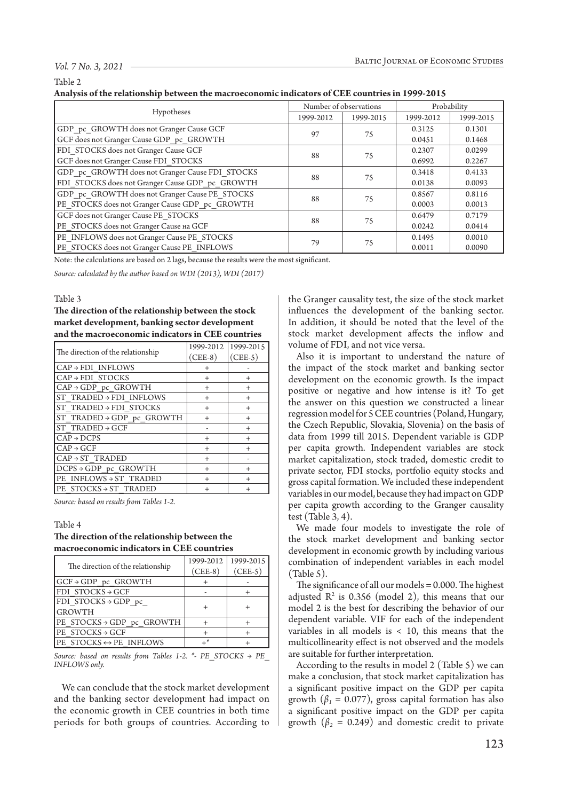#### *Vol. 7 No. 3, 2021*

#### Table 2

| Analysis of the relationship between the macroeconomic indicators of CEE countries in 1999-2015 |  |  |
|-------------------------------------------------------------------------------------------------|--|--|
|-------------------------------------------------------------------------------------------------|--|--|

|                                                 | Number of observations |           | Probability |           |
|-------------------------------------------------|------------------------|-----------|-------------|-----------|
| Hypotheses                                      | 1999-2012              | 1999-2015 | 1999-2012   | 1999-2015 |
| GDP pc GROWTH does not Granger Cause GCF        | 97                     | 75        | 0.3125      | 0.1301    |
| GCF does not Granger Cause GDP pc GROWTH        |                        |           | 0.0451      | 0.1468    |
| FDI STOCKS does not Granger Cause GCF           | 88                     | 75        | 0.2307      | 0.0299    |
| GCF does not Granger Cause FDI STOCKS           |                        |           | 0.6992      | 0.2267    |
| GDP pc GROWTH does not Granger Cause FDI STOCKS | 88                     | 75        | 0.3418      | 0.4133    |
| FDI STOCKS does not Granger Cause GDP pc GROWTH |                        |           | 0.0138      | 0.0093    |
| GDP pc GROWTH does not Granger Cause PE STOCKS  | 88                     |           | 0.8567      | 0.8116    |
| PE_STOCKS does not Granger Cause GDP_pc_GROWTH  |                        | 75        | 0.0003      | 0.0013    |
| GCF does not Granger Cause PE STOCKS            | 88                     | 75        | 0.6479      | 0.7179    |
| PE STOCKS does not Granger Cause Ha GCF         |                        |           | 0.0242      | 0.0414    |
| PE INFLOWS does not Granger Cause PE STOCKS     |                        |           | 0.1495      | 0.0010    |
| PE_STOCKS does not Granger Cause PE_INFLOWS     | 79                     | 75        | 0.0011      | 0.0090    |

Note: the calculations are based on 2 lags, because the results were the most significant.

*Source: calculated by the author based on WDI (2013), WDI (2017)*

#### Table 3

**The direction of the relationship between the stock market development, banking sector development and the macroeconomic indicators in CEE countries**

|                                       | 1999-2012 | 1999-2015 |
|---------------------------------------|-----------|-----------|
| The direction of the relationship     | $(CEE-8)$ | $(CEE-5)$ |
| $CAP \rightarrow FDI$ INFLOWS         | $^{+}$    |           |
| $CAP \rightarrow FDI$ STOCKS          | $^{+}$    | $^{+}$    |
| $CAP \rightarrow GDP$ pc GROWTH       | $^{+}$    | $+$       |
| ST TRADED $\rightarrow$ FDI INFLOWS   | $^{+}$    | $^{+}$    |
| ST TRADED > FDI STOCKS                | $^{+}$    | $+$       |
| ST TRADED $\rightarrow$ GDP pc GROWTH | $^{+}$    | $+$       |
| ST TRADED $\rightarrow$ GCF           |           | $^{+}$    |
| $CAP \rightarrow DCPS$                | $^{+}$    | $^{+}$    |
| $CAP \rightarrow GCF$                 | $^{+}$    | $^{+}$    |
| $CAP \rightarrow ST$ TRADED           | $^{+}$    |           |
| $DCPS \rightarrow GDP$ pc GROWTH      | $^{+}$    | $^{+}$    |
| PE INFLOWS $\rightarrow$ ST TRADED    | $^{+}$    | $^{+}$    |
| PE STOCKS $\rightarrow$ ST TRADED     |           | $^{+}$    |

*Source: based on results from Tables 1-2.*

#### Table 4

## **The direction of the relationship between the macroeconomic indicators in CEE countries**

| The direction of the relationship       | 1999-2012 | 1999-2015 |
|-----------------------------------------|-----------|-----------|
|                                         | $(CEE-8)$ | $(CEE-5)$ |
| $GCF \rightarrow GDP$ pc $GROWTH$       |           |           |
| $FDI$ STOCKS $\rightarrow$ GCF          |           |           |
| FDI STOCKS $\rightarrow$ GDP pc         |           |           |
| <b>GROWTH</b>                           |           |           |
| PE STOCKS→GDP pc GROWTH                 |           |           |
| PE STOCKS $\rightarrow$ GCF             |           |           |
| IPE STOCKS $\leftrightarrow$ PE INFLOWS | ⊥*        |           |

*Source: based on results from Tables 1-2. \*- PE\_STOCKS → PE\_ INFLOWS only.*

We can conclude that the stock market development and the banking sector development had impact on the economic growth in CEE countries in both time periods for both groups of countries. According to

the Granger causality test, the size of the stock market influences the development of the banking sector. In addition, it should be noted that the level of the stock market development affects the inflow and volume of FDI, and not vice versa.

Also it is important to understand the nature of the impact of the stock market and banking sector development on the economic growth. Is the impact positive or negative and how intense is it? To get the answer on this question we constructed a linear regression model for 5 CEE countries (Poland, Hungary, the Czech Republic, Slovakia, Slovenia) on the basis of data from 1999 till 2015. Dependent variable is GDP per capita growth. Independent variables are stock market capitalization, stock traded, domestic credit to private sector, FDI stocks, portfolio equity stocks and gross capital formation. We included these independent variables in our model, because they had impact on GDP per capita growth according to the Granger causality test (Table 3, 4).

We made four models to investigate the role of the stock market development and banking sector development in economic growth by including various combination of independent variables in each model (Table 5).

The significance of all our models = 0.000. The highest adjusted  $R^2$  is 0.356 (model 2), this means that our model 2 is the best for describing the behavior of our dependent variable. VIF for each of the independent variables in all models is < 10, this means that the multicollinearity effect is not observed and the models are suitable for further interpretation.

According to the results in model 2 (Table 5) we can make a conclusion, that stock market capitalization has a significant positive impact on the GDP per capita growth  $(\beta_1 = 0.077)$ , gross capital formation has also a significant positive impact on the GDP per capita growth  $(\beta_2 = 0.249)$  and domestic credit to private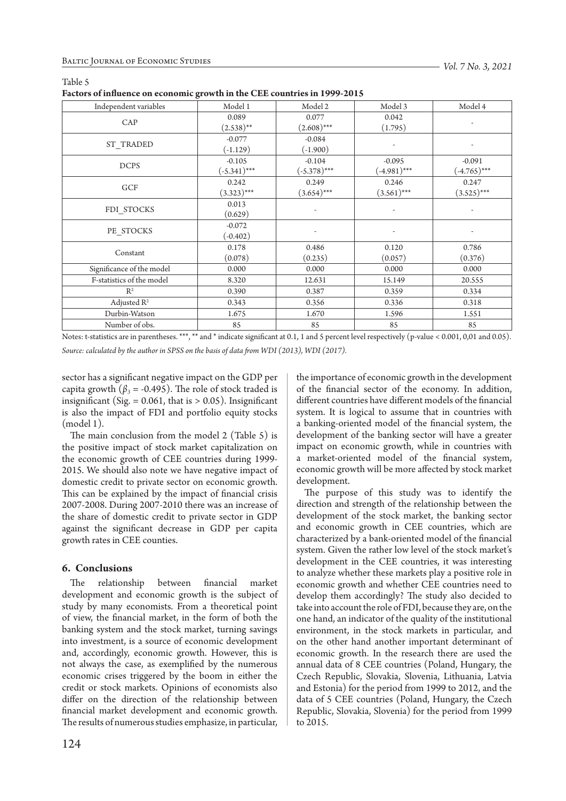|--|

**Factors of influence on economic growth in the CEE countries in 1999-2015**

| $\frac{1}{2}$             |                |                |                          |                |  |
|---------------------------|----------------|----------------|--------------------------|----------------|--|
| Independent variables     | Model 1        | Model 2        | Model 3                  | Model 4        |  |
| CAP                       | 0.089          | 0.077          | 0.042                    |                |  |
|                           | $(2.538)$ **   | $(2.608)$ ***  | (1.795)                  |                |  |
|                           | $-0.077$       | $-0.084$       |                          |                |  |
| ST_TRADED                 | $(-1.129)$     | (.1.900)       |                          |                |  |
| <b>DCPS</b>               | $-0.105$       | $-0.104$       | $-0.095$                 | $-0.091$       |  |
|                           | $(-5.341)$ *** | $(-5.378)$ *** | $(-4.981)$ ***           | $(-4.765)$ *** |  |
|                           | 0.242          | 0.249          | 0.246                    | 0.247          |  |
| GCF                       | $(3.323)***$   | $(3.654)$ ***  | $(3.561)$ ***            | $(3.525)***$   |  |
| FDI_STOCKS                | 0.013          |                |                          |                |  |
|                           | (0.629)        | ÷              | $\overline{\phantom{a}}$ |                |  |
| PE STOCKS                 | $-0.072$       |                |                          |                |  |
|                           | $(-0.402)$     |                |                          |                |  |
| Constant                  | 0.178          | 0.486          | 0.120                    | 0.786          |  |
|                           | (0.078)        | (0.235)        | (0.057)                  | (0.376)        |  |
| Significance of the model | 0.000          | 0.000          | 0.000                    | 0.000          |  |
| F-statistics of the model | 8.320          | 12.631         | 15.149                   | 20.555         |  |
| $R^2$                     | 0.390          | 0.387          | 0.359                    | 0.334          |  |
| Adjusted $R^2$            | 0.343          | 0.356          | 0.336                    | 0.318          |  |
| Durbin-Watson             | 1.675          | 1.670          | 1.596                    | 1.551          |  |
| Number of obs.            | 85             | 85             | 85                       | 85             |  |

Notes: t-statistics are in parentheses. \*\*\*, \*\* and \* indicate significant at 0.1, 1 and 5 percent level respectively (p-value < 0.001, 0,01 and 0.05). *Source: calculated by the author in SPSS on the basis of data from WDI (2013), WDI (2017).*

sector has a significant negative impact on the GDP per capita growth ( $\beta_3$  = -0.495). The role of stock traded is insignificant (Sig.  $= 0.061$ , that is  $> 0.05$ ). Insignificant is also the impact of FDI and portfolio equity stocks (model 1).

The main conclusion from the model 2 (Table 5) is the positive impact of stock market capitalization on the economic growth of CEE countries during 1999- 2015. We should also note we have negative impact of domestic credit to private sector on economic growth. This can be explained by the impact of financial crisis 2007-2008. During 2007-2010 there was an increase of the share of domestic credit to private sector in GDP against the significant decrease in GDP per capita growth rates in CEE counties.

## **6. Conclusions**

The relationship between financial market development and economic growth is the subject of study by many economists. From a theoretical point of view, the financial market, in the form of both the banking system and the stock market, turning savings into investment, is a source of economic development and, accordingly, economic growth. However, this is not always the case, as exemplified by the numerous economic crises triggered by the boom in either the credit or stock markets. Opinions of economists also differ on the direction of the relationship between financial market development and economic growth. The results of numerous studies emphasize, in particular,

the importance of economic growth in the development of the financial sector of the economy. In addition, different countries have different models of the financial system. It is logical to assume that in countries with a banking-oriented model of the financial system, the development of the banking sector will have a greater impact on economic growth, while in countries with a market-oriented model of the financial system, economic growth will be more affected by stock market development.

The purpose of this study was to identify the direction and strength of the relationship between the development of the stock market, the banking sector and economic growth in CEE countries, which are characterized by a bank-oriented model of the financial system. Given the rather low level of the stock market's development in the CEE countries, it was interesting to analyze whether these markets play a positive role in economic growth and whether CEE countries need to develop them accordingly? The study also decided to take into account the role of FDI, because they are, on the one hand, an indicator of the quality of the institutional environment, in the stock markets in particular, and on the other hand another important determinant of economic growth. In the research there are used the annual data of 8 CEE countries (Poland, Hungary, the Czech Republic, Slovakia, Slovenia, Lithuania, Latvia and Estonia) for the period from 1999 to 2012, and the data of 5 CEE countries (Poland, Hungary, the Czech Republic, Slovakia, Slovenia) for the period from 1999 to 2015.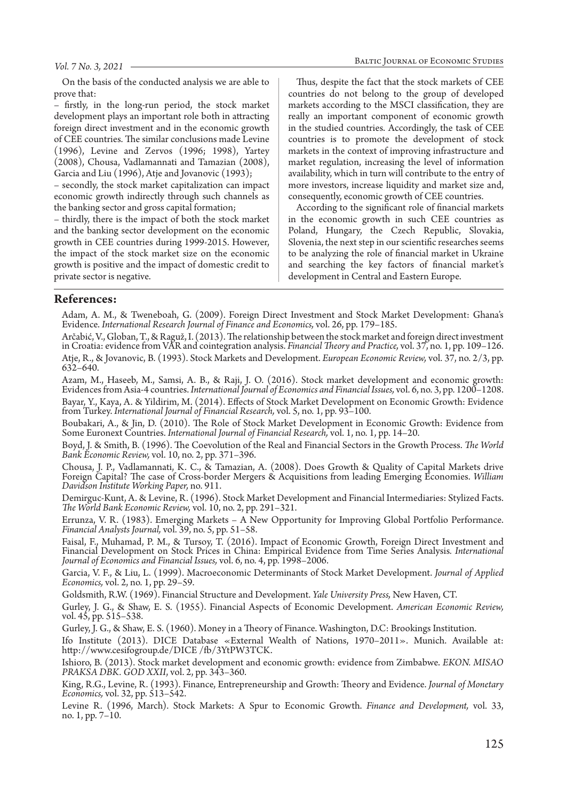On the basis of the conducted analysis we are able to prove that:

– firstly, in the long-run period, the stock market development plays an important role both in attracting foreign direct investment and in the economic growth of CEE countries. The similar conclusions made Levine (1996), Levine and Zervos (1996; 1998), Yartey (2008), Chousa, Vadlamannati and Tamazian (2008), Garcia and Liu (1996), Atje and Jovanovic (1993);

– secondly, the stock market capitalization can impact economic growth indirectly through such channels as the banking sector and gross capital formation;

– thirdly, there is the impact of both the stock market and the banking sector development on the economic growth in CEE countries during 1999-2015. However, the impact of the stock market size on the economic growth is positive and the impact of domestic credit to private sector is negative.

Thus, despite the fact that the stock markets of CEE countries do not belong to the group of developed markets according to the MSCI classification, they are really an important component of economic growth in the studied countries. Accordingly, the task of CEE countries is to promote the development of stock markets in the context of improving infrastructure and market regulation, increasing the level of information availability, which in turn will contribute to the entry of more investors, increase liquidity and market size and, consequently, economic growth of CEE countries.

According to the significant role of financial markets in the economic growth in such CEE countries as Poland, Hungary, the Czech Republic, Slovakia, Slovenia, the next step in our scientific researches seems to be analyzing the role of financial market in Ukraine and searching the key factors of financial market's development in Central and Eastern Europe.

## **References:**

Adam, A. M., & Tweneboah, G. (2009). Foreign Direct Investment and Stock Market Development: Ghana's Evidence. *International Research Journal of Finance and Economics,* vol. 26, pp. 179–185.

Arčabić, V., Globan, T., & Raguž, I. (2013). The relationship between the stock market and foreign direct investment in Croatia: evidence from VAR and cointegration analysis. *Financial Theory and Practice,* vol. 37, no. 1, pp. 109–126. Atje, R., & Jovanovic, B. (1993). Stock Markets and Development. *European Economic Review,* vol. 37, no. 2/3, pp. 632–640.

Azam, M., Haseeb, M., Samsi, A. B., & Raji, J. O. (2016). Stock market development and economic growth: Evidences from Asia-4 countries. *International Journal of Economics and Financial Issues,* vol. 6, no. 3, pp. 1200–1208.

Bayar, Y., Kaya, A. & Yildirim, M. (2014). Effects of Stock Market Development on Economic Growth: Evidence from Turkey. *International Journal of Financial Research,* vol. 5, no. 1, pp. 93–100.

Boubakari, A., & Jin, D. (2010). The Role of Stock Market Development in Economic Growth: Evidence from Some Euronext Countries. *International Journal of Financial Research,* vol. 1, no. 1, pp. 14–20.

Boyd, J. & Smith, B. (1996). The Coevolution of the Real and Financial Sectors in the Growth Process. *The World Bank Economic Review,* vol. 10, no. 2, pp. 371–396.

Chousa, J. P., Vadlamannati, K. C., & Tamazian, A. (2008). Does Growth & Quality of Capital Markets drive Foreign Capital? The case of Cross-border Mergers & Acquisitions from leading Emerging Economies. *William Davidson Institute Working Paper,* no. 911.

Demirguc-Kunt, A. & Levine, R. (1996). Stock Market Development and Financial Intermediaries: Stylized Facts. *The World Bank Economic Review, vol.* 10, no. 2, pp. 291–321.

Errunza, V. R. (1983). Emerging Markets – A New Opportunity for Improving Global Portfolio Performance. *Financial Analysts Journal,* vol. 39, no. 5, pp. 51–58.

Faisal, F., Muhamad, P. M., & Tursoy, T. (2016). Impact of Economic Growth, Foreign Direct Investment and Financial Development on Stock Prices in China: Empirical Evidence from Time Series Analysis*. International Journal of Economics and Financial Issues,* vol. 6, no. 4, pp. 1998–2006.

Garcia, V. F., & Liu, L. (1999). Macroeconomic Determinants of Stock Market Development. *Journal of Applied Economics,* vol. 2, no. 1, pp. 29–59.

Goldsmith, R.W. (1969). Financial Structure and Development. *Yale University Press,* New Haven, CT.

Gurley, J. G., & Shaw, E. S. (1955). Financial Aspects of Economic Development. *American Economic Review,* vol. 45, pp. 515–538.

Gurley, J. G., & Shaw, E. S. (1960). Money in a Theory of Finance. Washington, D.C: Brookings Institution.

Ifo Institute (2013). DICE Database «External Wealth of Nations, 1970–2011». Munich. Available at: http://www.cesifogroup.de/DICE /fb/3YtPW3TCK.

Ishioro, B. (2013). Stock market development and economic growth: evidence from Zimbabwe. *EKON. MISAO PRAKSA DBK. GOD XXII*, vol. 2, pp. 343–360.

King, R.G., Levine, R. (1993). Finance, Entrepreneurship and Growth: Theory and Evidence. *Journal of Monetary Economics,* vol. 32, pp. 513–542.

Levine R. (1996, March). Stock Markets: A Spur to Economic Growth. *Finance and Development,* vol. 33, no. 1, pp. 7–10.